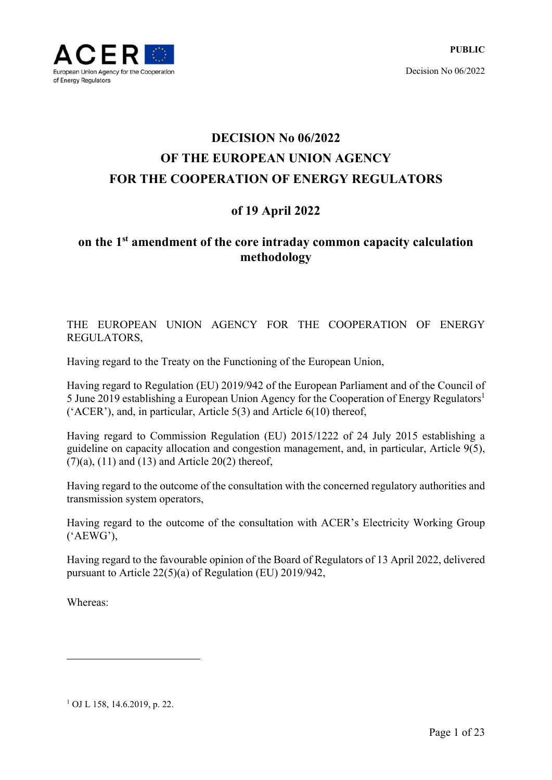

# **DECISION No 06/2022 OF THE EUROPEAN UNION AGENCY FOR THE COOPERATION OF ENERGY REGULATORS**

## **of 19 April 2022**

## **on the 1st amendment of the core intraday common capacity calculation methodology**

THE EUROPEAN UNION AGENCY FOR THE COOPERATION OF ENERGY REGULATORS,

Having regard to the Treaty on the Functioning of the European Union,

Having regard to Regulation (EU) 2019/942 of the European Parliament and of the Council of 5 June 2019 establishing a European Union Agency for the Cooperation of Energy Regulators<sup>1</sup> ('ACER'), and, in particular, Article 5(3) and Article 6(10) thereof,

Having regard to Commission Regulation (EU) 2015/1222 of 24 July 2015 establishing a guideline on capacity allocation and congestion management, and, in particular, Article 9(5),  $(7)(a)$ ,  $(11)$  and  $(13)$  and Article 20 $(2)$  thereof,

Having regard to the outcome of the consultation with the concerned regulatory authorities and transmission system operators,

Having regard to the outcome of the consultation with ACER's Electricity Working Group ('AEWG'),

Having regard to the favourable opinion of the Board of Regulators of 13 April 2022, delivered pursuant to Article 22(5)(a) of Regulation (EU) 2019/942,

Whereas:

1

1 OJ L 158, 14.6.2019, p. 22.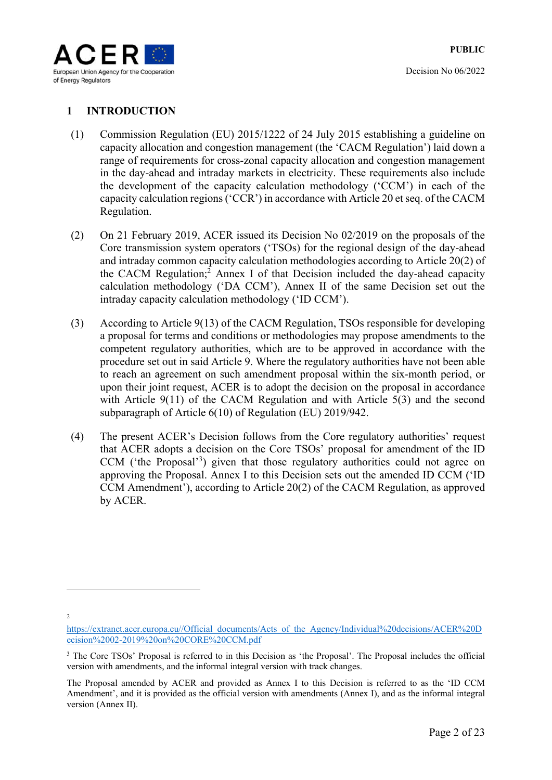

## **1 INTRODUCTION**

- (1) Commission Regulation (EU) 2015/1222 of 24 July 2015 establishing a guideline on capacity allocation and congestion management (the 'CACM Regulation') laid down a range of requirements for cross-zonal capacity allocation and congestion management in the day-ahead and intraday markets in electricity. These requirements also include the development of the capacity calculation methodology ('CCM') in each of the capacity calculation regions ('CCR') in accordance with Article 20 et seq. of the CACM Regulation.
- (2) On 21 February 2019, ACER issued its Decision No 02/2019 on the proposals of the Core transmission system operators ('TSOs) for the regional design of the day-ahead and intraday common capacity calculation methodologies according to Article 20(2) of the CACM Regulation;<sup>2</sup> Annex I of that Decision included the day-ahead capacity calculation methodology ('DA CCM'), Annex II of the same Decision set out the intraday capacity calculation methodology ('ID CCM').
- (3) According to Article 9(13) of the CACM Regulation, TSOs responsible for developing a proposal for terms and conditions or methodologies may propose amendments to the competent regulatory authorities, which are to be approved in accordance with the procedure set out in said Article 9. Where the regulatory authorities have not been able to reach an agreement on such amendment proposal within the six-month period, or upon their joint request, ACER is to adopt the decision on the proposal in accordance with Article 9(11) of the CACM Regulation and with Article 5(3) and the second subparagraph of Article 6(10) of Regulation (EU) 2019/942.
- (4) The present ACER's Decision follows from the Core regulatory authorities' request that ACER adopts a decision on the Core TSOs' proposal for amendment of the ID CCM ('the Proposal'<sup>3</sup>) given that those regulatory authorities could not agree on approving the Proposal. Annex I to this Decision sets out the amended ID CCM ('ID CCM Amendment'), according to Article 20(2) of the CACM Regulation, as approved by ACER.

 $\overline{2}$ 

<u>.</u>

https://extranet.acer.europa.eu//Official\_documents/Acts\_of\_the\_Agency/Individual%20decisions/ACER%20D ecision%2002-2019%20on%20CORE%20CCM.pdf

<sup>&</sup>lt;sup>3</sup> The Core TSOs' Proposal is referred to in this Decision as 'the Proposal'. The Proposal includes the official version with amendments, and the informal integral version with track changes.

The Proposal amended by ACER and provided as Annex I to this Decision is referred to as the 'ID CCM Amendment', and it is provided as the official version with amendments (Annex I), and as the informal integral version (Annex II).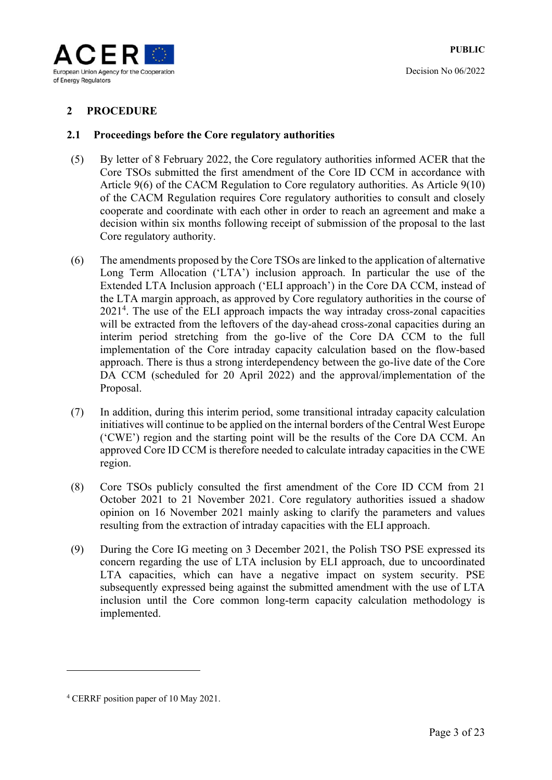

## **2 PROCEDURE**

#### **2.1 Proceedings before the Core regulatory authorities**

- (5) By letter of 8 February 2022, the Core regulatory authorities informed ACER that the Core TSOs submitted the first amendment of the Core ID CCM in accordance with Article 9(6) of the CACM Regulation to Core regulatory authorities. As Article 9(10) of the CACM Regulation requires Core regulatory authorities to consult and closely cooperate and coordinate with each other in order to reach an agreement and make a decision within six months following receipt of submission of the proposal to the last Core regulatory authority.
- (6) The amendments proposed by the Core TSOs are linked to the application of alternative Long Term Allocation ('LTA') inclusion approach. In particular the use of the Extended LTA Inclusion approach ('ELI approach') in the Core DA CCM, instead of the LTA margin approach, as approved by Core regulatory authorities in the course of 2021<sup>4</sup> . The use of the ELI approach impacts the way intraday cross-zonal capacities will be extracted from the leftovers of the day-ahead cross-zonal capacities during an interim period stretching from the go-live of the Core DA CCM to the full implementation of the Core intraday capacity calculation based on the flow-based approach. There is thus a strong interdependency between the go-live date of the Core DA CCM (scheduled for 20 April 2022) and the approval/implementation of the Proposal.
- (7) In addition, during this interim period, some transitional intraday capacity calculation initiatives will continue to be applied on the internal borders of the Central West Europe ('CWE') region and the starting point will be the results of the Core DA CCM. An approved Core ID CCM is therefore needed to calculate intraday capacities in the CWE region.
- (8) Core TSOs publicly consulted the first amendment of the Core ID CCM from 21 October 2021 to 21 November 2021. Core regulatory authorities issued a shadow opinion on 16 November 2021 mainly asking to clarify the parameters and values resulting from the extraction of intraday capacities with the ELI approach.
- (9) During the Core IG meeting on 3 December 2021, the Polish TSO PSE expressed its concern regarding the use of LTA inclusion by ELI approach, due to uncoordinated LTA capacities, which can have a negative impact on system security. PSE subsequently expressed being against the submitted amendment with the use of LTA inclusion until the Core common long-term capacity calculation methodology is implemented.

1

<sup>4</sup> CERRF position paper of 10 May 2021.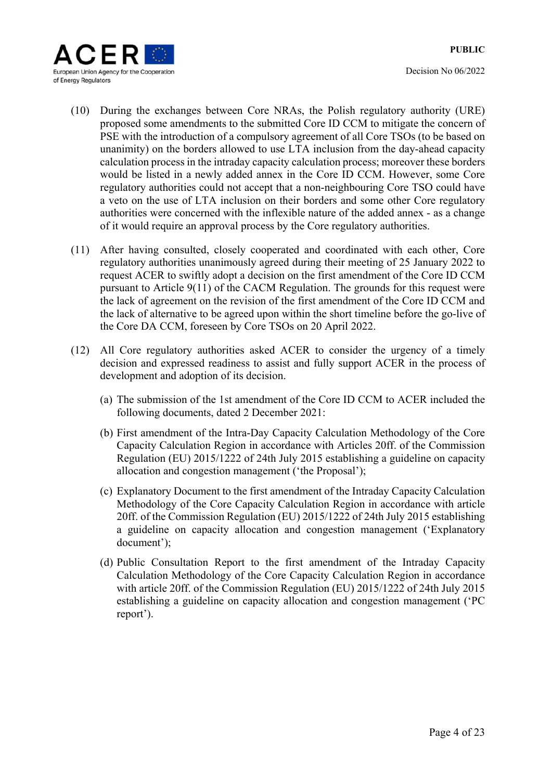

- (10) During the exchanges between Core NRAs, the Polish regulatory authority (URE) proposed some amendments to the submitted Core ID CCM to mitigate the concern of PSE with the introduction of a compulsory agreement of all Core TSOs (to be based on unanimity) on the borders allowed to use LTA inclusion from the day-ahead capacity calculation process in the intraday capacity calculation process; moreover these borders would be listed in a newly added annex in the Core ID CCM. However, some Core regulatory authorities could not accept that a non-neighbouring Core TSO could have a veto on the use of LTA inclusion on their borders and some other Core regulatory authorities were concerned with the inflexible nature of the added annex - as a change of it would require an approval process by the Core regulatory authorities.
- (11) After having consulted, closely cooperated and coordinated with each other, Core regulatory authorities unanimously agreed during their meeting of 25 January 2022 to request ACER to swiftly adopt a decision on the first amendment of the Core ID CCM pursuant to Article 9(11) of the CACM Regulation. The grounds for this request were the lack of agreement on the revision of the first amendment of the Core ID CCM and the lack of alternative to be agreed upon within the short timeline before the go-live of the Core DA CCM, foreseen by Core TSOs on 20 April 2022.
- (12) All Core regulatory authorities asked ACER to consider the urgency of a timely decision and expressed readiness to assist and fully support ACER in the process of development and adoption of its decision.
	- (a) The submission of the 1st amendment of the Core ID CCM to ACER included the following documents, dated 2 December 2021:
	- (b) First amendment of the Intra-Day Capacity Calculation Methodology of the Core Capacity Calculation Region in accordance with Articles 20ff. of the Commission Regulation (EU) 2015/1222 of 24th July 2015 establishing a guideline on capacity allocation and congestion management ('the Proposal');
	- (c) Explanatory Document to the first amendment of the Intraday Capacity Calculation Methodology of the Core Capacity Calculation Region in accordance with article 20ff. of the Commission Regulation (EU) 2015/1222 of 24th July 2015 establishing a guideline on capacity allocation and congestion management ('Explanatory document');
	- (d) Public Consultation Report to the first amendment of the Intraday Capacity Calculation Methodology of the Core Capacity Calculation Region in accordance with article 20ff. of the Commission Regulation (EU) 2015/1222 of 24th July 2015 establishing a guideline on capacity allocation and congestion management ('PC report').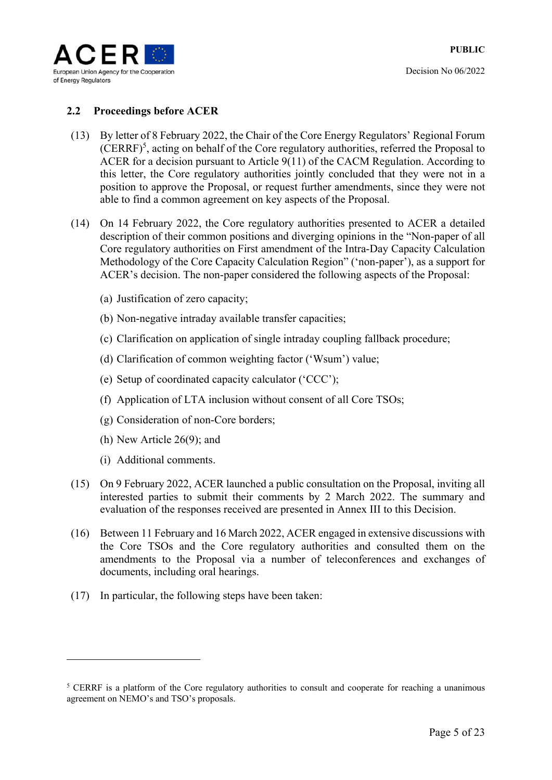

### **2.2 Proceedings before ACER**

- (13) By letter of 8 February 2022, the Chair of the Core Energy Regulators' Regional Forum (CERRF)<sup>5</sup>, acting on behalf of the Core regulatory authorities, referred the Proposal to ACER for a decision pursuant to Article 9(11) of the CACM Regulation. According to this letter, the Core regulatory authorities jointly concluded that they were not in a position to approve the Proposal, or request further amendments, since they were not able to find a common agreement on key aspects of the Proposal.
- (14) On 14 February 2022, the Core regulatory authorities presented to ACER a detailed description of their common positions and diverging opinions in the "Non-paper of all Core regulatory authorities on First amendment of the Intra-Day Capacity Calculation Methodology of the Core Capacity Calculation Region" ('non‐paper'), as a support for ACER's decision. The non-paper considered the following aspects of the Proposal:
	- (a) Justification of zero capacity;
	- (b) Non-negative intraday available transfer capacities;
	- (c) Clarification on application of single intraday coupling fallback procedure;
	- (d) Clarification of common weighting factor ('Wsum') value;
	- (e) Setup of coordinated capacity calculator ('CCC');
	- (f) Application of LTA inclusion without consent of all Core TSOs;
	- (g) Consideration of non-Core borders;
	- (h) New Article 26(9); and
	- (i) Additional comments.

<u>.</u>

- (15) On 9 February 2022, ACER launched a public consultation on the Proposal, inviting all interested parties to submit their comments by 2 March 2022. The summary and evaluation of the responses received are presented in Annex III to this Decision.
- (16) Between 11 February and 16 March 2022, ACER engaged in extensive discussions with the Core TSOs and the Core regulatory authorities and consulted them on the amendments to the Proposal via a number of teleconferences and exchanges of documents, including oral hearings.
- (17) In particular, the following steps have been taken:

<sup>&</sup>lt;sup>5</sup> CERRF is a platform of the Core regulatory authorities to consult and cooperate for reaching a unanimous agreement on NEMO's and TSO's proposals.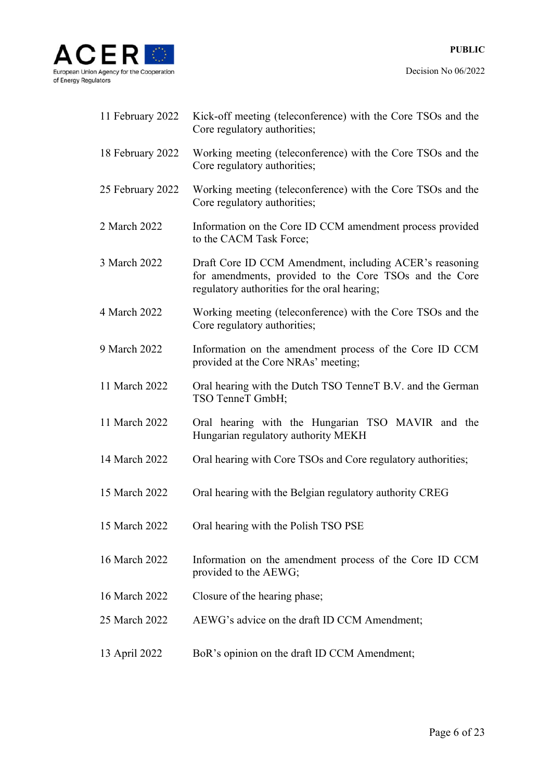

| 11 February 2022 | Kick-off meeting (teleconference) with the Core TSOs and the<br>Core regulatory authorities;                                                                      |
|------------------|-------------------------------------------------------------------------------------------------------------------------------------------------------------------|
| 18 February 2022 | Working meeting (teleconference) with the Core TSOs and the<br>Core regulatory authorities;                                                                       |
| 25 February 2022 | Working meeting (teleconference) with the Core TSOs and the<br>Core regulatory authorities;                                                                       |
| 2 March 2022     | Information on the Core ID CCM amendment process provided<br>to the CACM Task Force;                                                                              |
| 3 March 2022     | Draft Core ID CCM Amendment, including ACER's reasoning<br>for amendments, provided to the Core TSOs and the Core<br>regulatory authorities for the oral hearing; |
| 4 March 2022     | Working meeting (teleconference) with the Core TSOs and the<br>Core regulatory authorities;                                                                       |
| 9 March 2022     | Information on the amendment process of the Core ID CCM<br>provided at the Core NRAs' meeting;                                                                    |
| 11 March 2022    | Oral hearing with the Dutch TSO TenneT B.V. and the German<br>TSO TenneT GmbH;                                                                                    |
| 11 March 2022    | Oral hearing with the Hungarian TSO MAVIR and the<br>Hungarian regulatory authority MEKH                                                                          |
| 14 March 2022    | Oral hearing with Core TSOs and Core regulatory authorities;                                                                                                      |
| 15 March 2022    | Oral hearing with the Belgian regulatory authority CREG                                                                                                           |
| 15 March 2022    | Oral hearing with the Polish TSO PSE                                                                                                                              |
| 16 March 2022    | Information on the amendment process of the Core ID CCM<br>provided to the AEWG;                                                                                  |
| 16 March 2022    | Closure of the hearing phase;                                                                                                                                     |
| 25 March 2022    | AEWG's advice on the draft ID CCM Amendment;                                                                                                                      |
| 13 April 2022    | BoR's opinion on the draft ID CCM Amendment;                                                                                                                      |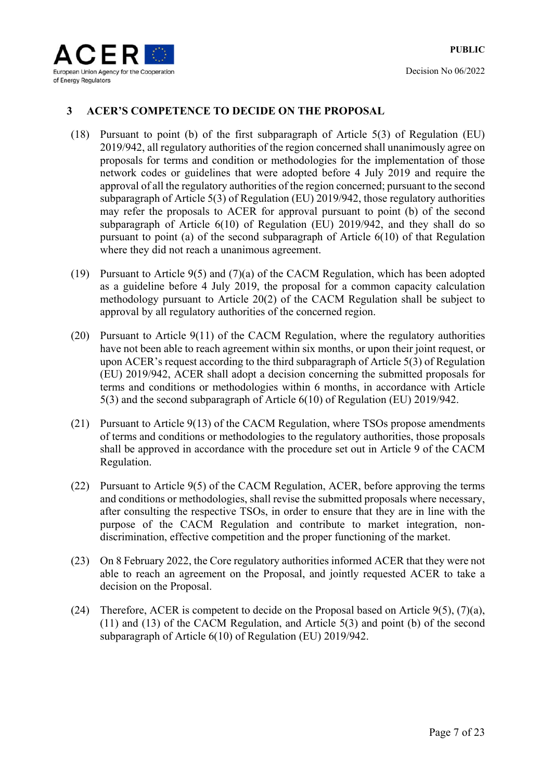

## **3 ACER'S COMPETENCE TO DECIDE ON THE PROPOSAL**

- (18) Pursuant to point (b) of the first subparagraph of Article 5(3) of Regulation (EU) 2019/942, all regulatory authorities of the region concerned shall unanimously agree on proposals for terms and condition or methodologies for the implementation of those network codes or guidelines that were adopted before 4 July 2019 and require the approval of all the regulatory authorities of the region concerned; pursuant to the second subparagraph of Article 5(3) of Regulation (EU) 2019/942, those regulatory authorities may refer the proposals to ACER for approval pursuant to point (b) of the second subparagraph of Article 6(10) of Regulation (EU) 2019/942, and they shall do so pursuant to point (a) of the second subparagraph of Article 6(10) of that Regulation where they did not reach a unanimous agreement.
- (19) Pursuant to Article 9(5) and (7)(a) of the CACM Regulation, which has been adopted as a guideline before 4 July 2019, the proposal for a common capacity calculation methodology pursuant to Article 20(2) of the CACM Regulation shall be subject to approval by all regulatory authorities of the concerned region.
- (20) Pursuant to Article 9(11) of the CACM Regulation, where the regulatory authorities have not been able to reach agreement within six months, or upon their joint request, or upon ACER's request according to the third subparagraph of Article 5(3) of Regulation (EU) 2019/942, ACER shall adopt a decision concerning the submitted proposals for terms and conditions or methodologies within 6 months, in accordance with Article 5(3) and the second subparagraph of Article 6(10) of Regulation (EU) 2019/942.
- (21) Pursuant to Article 9(13) of the CACM Regulation, where TSOs propose amendments of terms and conditions or methodologies to the regulatory authorities, those proposals shall be approved in accordance with the procedure set out in Article 9 of the CACM Regulation.
- (22) Pursuant to Article 9(5) of the CACM Regulation, ACER, before approving the terms and conditions or methodologies, shall revise the submitted proposals where necessary, after consulting the respective TSOs, in order to ensure that they are in line with the purpose of the CACM Regulation and contribute to market integration, nondiscrimination, effective competition and the proper functioning of the market.
- (23) On 8 February 2022, the Core regulatory authorities informed ACER that they were not able to reach an agreement on the Proposal, and jointly requested ACER to take a decision on the Proposal.
- (24) Therefore, ACER is competent to decide on the Proposal based on Article  $9(5)$ ,  $(7)(a)$ , (11) and (13) of the CACM Regulation, and Article 5(3) and point (b) of the second subparagraph of Article 6(10) of Regulation (EU) 2019/942.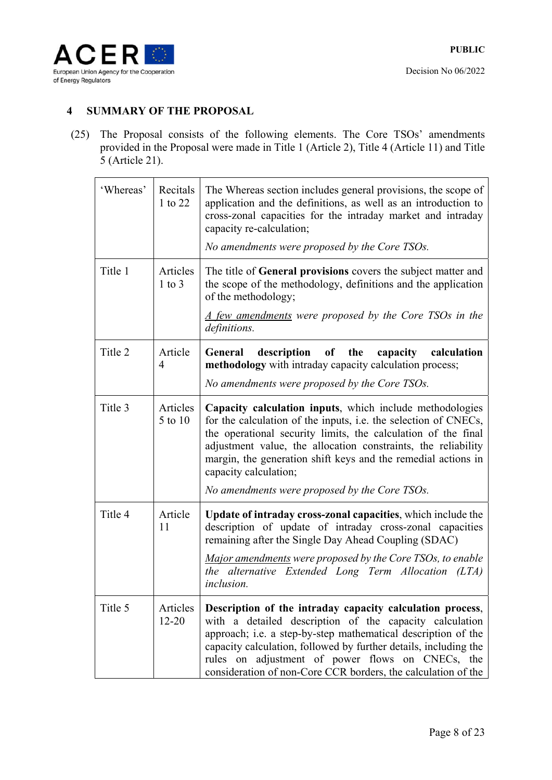

## **4 SUMMARY OF THE PROPOSAL**

(25) The Proposal consists of the following elements. The Core TSOs' amendments provided in the Proposal were made in Title 1 (Article 2), Title 4 (Article 11) and Title 5 (Article 21).

| 'Whereas' | Recitals<br>1 to 22       | The Whereas section includes general provisions, the scope of<br>application and the definitions, as well as an introduction to<br>cross-zonal capacities for the intraday market and intraday<br>capacity re-calculation;                                                                                                                                                     |
|-----------|---------------------------|--------------------------------------------------------------------------------------------------------------------------------------------------------------------------------------------------------------------------------------------------------------------------------------------------------------------------------------------------------------------------------|
|           |                           | No amendments were proposed by the Core TSOs.                                                                                                                                                                                                                                                                                                                                  |
| Title 1   | Articles<br>$1$ to $3$    | The title of General provisions covers the subject matter and<br>the scope of the methodology, definitions and the application<br>of the methodology;                                                                                                                                                                                                                          |
|           |                           | <u>A few amendments</u> were proposed by the Core TSOs in the<br>definitions.                                                                                                                                                                                                                                                                                                  |
| Title 2   | Article<br>$\overline{4}$ | description of the<br>General<br>capacity<br>calculation<br>methodology with intraday capacity calculation process;                                                                                                                                                                                                                                                            |
|           |                           | No amendments were proposed by the Core TSOs.                                                                                                                                                                                                                                                                                                                                  |
| Title 3   | Articles<br>5 to 10       | Capacity calculation inputs, which include methodologies<br>for the calculation of the inputs, i.e. the selection of CNECs,<br>the operational security limits, the calculation of the final<br>adjustment value, the allocation constraints, the reliability<br>margin, the generation shift keys and the remedial actions in<br>capacity calculation;                        |
|           |                           | No amendments were proposed by the Core TSOs.                                                                                                                                                                                                                                                                                                                                  |
| Title 4   | Article<br>11             | Update of intraday cross-zonal capacities, which include the<br>description of update of intraday cross-zonal capacities<br>remaining after the Single Day Ahead Coupling (SDAC)                                                                                                                                                                                               |
|           |                           | Major amendments were proposed by the Core TSOs, to enable<br>the alternative Extended Long Term Allocation (LTA)<br><i>inclusion.</i>                                                                                                                                                                                                                                         |
| Title 5   | Articles<br>$12 - 20$     | Description of the intraday capacity calculation process,<br>with a detailed description of the capacity calculation<br>approach; i.e. a step-by-step mathematical description of the<br>capacity calculation, followed by further details, including the<br>rules on adjustment of power flows on CNECs, the<br>consideration of non-Core CCR borders, the calculation of the |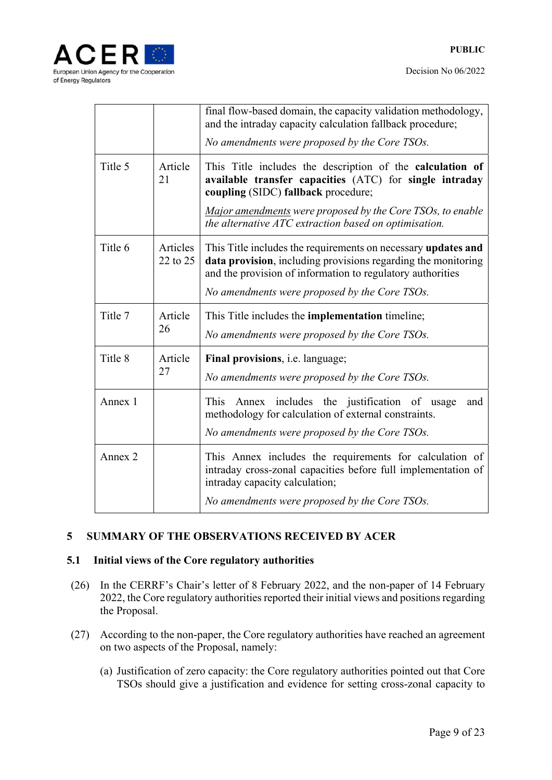



|         |                      | final flow-based domain, the capacity validation methodology,<br>and the intraday capacity calculation fallback procedure;<br>No amendments were proposed by the Core TSOs.                                                                   |
|---------|----------------------|-----------------------------------------------------------------------------------------------------------------------------------------------------------------------------------------------------------------------------------------------|
| Title 5 | Article<br>21        | This Title includes the description of the calculation of<br>available transfer capacities (ATC) for single intraday<br>coupling (SIDC) fallback procedure;                                                                                   |
|         |                      | Major amendments were proposed by the Core TSOs, to enable<br>the alternative ATC extraction based on optimisation.                                                                                                                           |
| Title 6 | Articles<br>22 to 25 | This Title includes the requirements on necessary updates and<br>data provision, including provisions regarding the monitoring<br>and the provision of information to regulatory authorities<br>No amendments were proposed by the Core TSOs. |
| Title 7 | Article<br>26        | This Title includes the <b>implementation</b> timeline;<br>No amendments were proposed by the Core TSOs.                                                                                                                                      |
| Title 8 | Article<br>27        | Final provisions, <i>i.e.</i> language;<br>No amendments were proposed by the Core TSOs.                                                                                                                                                      |
| Annex 1 |                      | This<br>Annex includes the justification of usage<br>and<br>methodology for calculation of external constraints.<br>No amendments were proposed by the Core TSOs.                                                                             |
| Annex 2 |                      | This Annex includes the requirements for calculation of<br>intraday cross-zonal capacities before full implementation of<br>intraday capacity calculation;<br>No amendments were proposed by the Core TSOs.                                   |

## **5 SUMMARY OF THE OBSERVATIONS RECEIVED BY ACER**

## **5.1 Initial views of the Core regulatory authorities**

- (26) In the CERRF's Chair's letter of 8 February 2022, and the non-paper of 14 February 2022, the Core regulatory authorities reported their initial views and positions regarding the Proposal.
- (27) According to the non-paper, the Core regulatory authorities have reached an agreement on two aspects of the Proposal, namely:
	- (a) Justification of zero capacity: the Core regulatory authorities pointed out that Core TSOs should give a justification and evidence for setting cross-zonal capacity to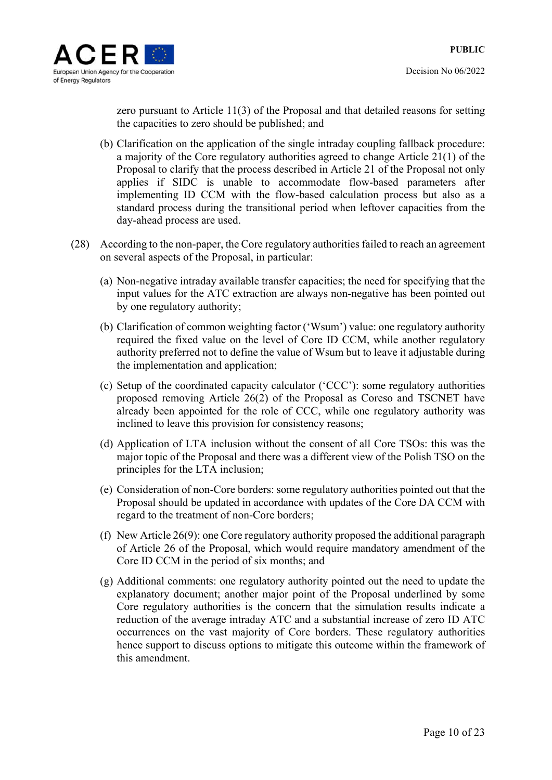

zero pursuant to Article 11(3) of the Proposal and that detailed reasons for setting the capacities to zero should be published; and

- (b) Clarification on the application of the single intraday coupling fallback procedure: a majority of the Core regulatory authorities agreed to change Article 21(1) of the Proposal to clarify that the process described in Article 21 of the Proposal not only applies if SIDC is unable to accommodate flow-based parameters after implementing ID CCM with the flow-based calculation process but also as a standard process during the transitional period when leftover capacities from the day-ahead process are used.
- (28) According to the non-paper, the Core regulatory authorities failed to reach an agreement on several aspects of the Proposal, in particular:
	- (a) Non-negative intraday available transfer capacities; the need for specifying that the input values for the ATC extraction are always non-negative has been pointed out by one regulatory authority;
	- (b) Clarification of common weighting factor ('Wsum') value: one regulatory authority required the fixed value on the level of Core ID CCM, while another regulatory authority preferred not to define the value of Wsum but to leave it adjustable during the implementation and application;
	- (c) Setup of the coordinated capacity calculator ('CCC'): some regulatory authorities proposed removing Article 26(2) of the Proposal as Coreso and TSCNET have already been appointed for the role of CCC, while one regulatory authority was inclined to leave this provision for consistency reasons;
	- (d) Application of LTA inclusion without the consent of all Core TSOs: this was the major topic of the Proposal and there was a different view of the Polish TSO on the principles for the LTA inclusion;
	- (e) Consideration of non-Core borders: some regulatory authorities pointed out that the Proposal should be updated in accordance with updates of the Core DA CCM with regard to the treatment of non-Core borders;
	- (f) New Article 26(9): one Core regulatory authority proposed the additional paragraph of Article 26 of the Proposal, which would require mandatory amendment of the Core ID CCM in the period of six months; and
	- (g) Additional comments: one regulatory authority pointed out the need to update the explanatory document; another major point of the Proposal underlined by some Core regulatory authorities is the concern that the simulation results indicate a reduction of the average intraday ATC and a substantial increase of zero ID ATC occurrences on the vast majority of Core borders. These regulatory authorities hence support to discuss options to mitigate this outcome within the framework of this amendment.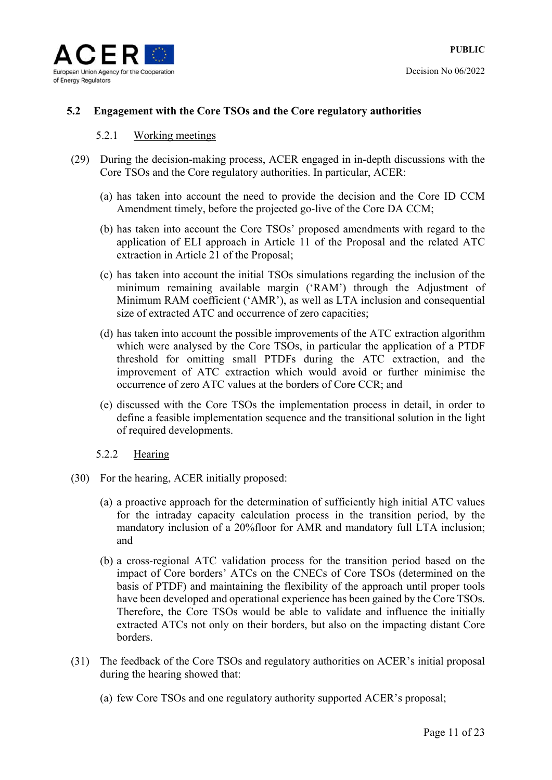

### **5.2 Engagement with the Core TSOs and the Core regulatory authorities**

#### 5.2.1 Working meetings

- (29) During the decision-making process, ACER engaged in in-depth discussions with the Core TSOs and the Core regulatory authorities. In particular, ACER:
	- (a) has taken into account the need to provide the decision and the Core ID CCM Amendment timely, before the projected go-live of the Core DA CCM;
	- (b) has taken into account the Core TSOs' proposed amendments with regard to the application of ELI approach in Article 11 of the Proposal and the related ATC extraction in Article 21 of the Proposal;
	- (c) has taken into account the initial TSOs simulations regarding the inclusion of the minimum remaining available margin ('RAM') through the Adjustment of Minimum RAM coefficient ('AMR'), as well as LTA inclusion and consequential size of extracted ATC and occurrence of zero capacities;
	- (d) has taken into account the possible improvements of the ATC extraction algorithm which were analysed by the Core TSOs, in particular the application of a PTDF threshold for omitting small PTDFs during the ATC extraction, and the improvement of ATC extraction which would avoid or further minimise the occurrence of zero ATC values at the borders of Core CCR; and
	- (e) discussed with the Core TSOs the implementation process in detail, in order to define a feasible implementation sequence and the transitional solution in the light of required developments.
	- 5.2.2 Hearing
- (30) For the hearing, ACER initially proposed:
	- (a) a proactive approach for the determination of sufficiently high initial ATC values for the intraday capacity calculation process in the transition period, by the mandatory inclusion of a 20%floor for AMR and mandatory full LTA inclusion; and
	- (b) a cross-regional ATC validation process for the transition period based on the impact of Core borders' ATCs on the CNECs of Core TSOs (determined on the basis of PTDF) and maintaining the flexibility of the approach until proper tools have been developed and operational experience has been gained by the Core TSOs. Therefore, the Core TSOs would be able to validate and influence the initially extracted ATCs not only on their borders, but also on the impacting distant Core borders.
- (31) The feedback of the Core TSOs and regulatory authorities on ACER's initial proposal during the hearing showed that:
	- (a) few Core TSOs and one regulatory authority supported ACER's proposal;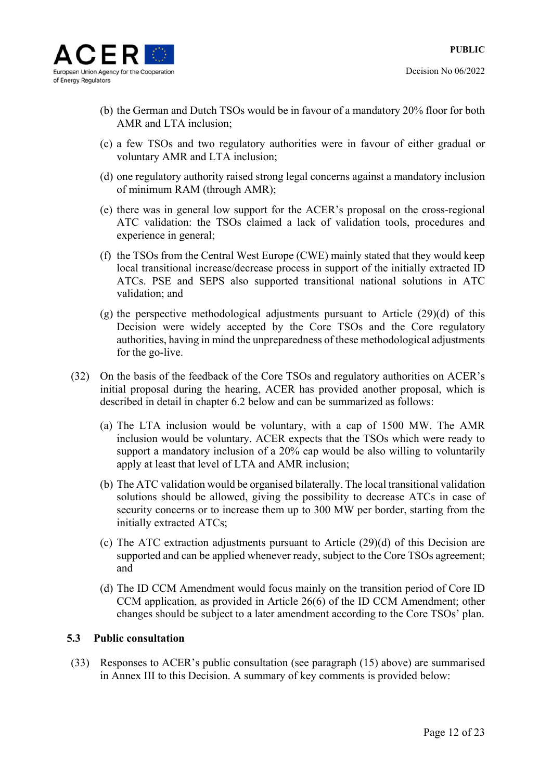

- (b) the German and Dutch TSOs would be in favour of a mandatory 20% floor for both AMR and LTA inclusion;
- (c) a few TSOs and two regulatory authorities were in favour of either gradual or voluntary AMR and LTA inclusion;
- (d) one regulatory authority raised strong legal concerns against a mandatory inclusion of minimum RAM (through AMR);
- (e) there was in general low support for the ACER's proposal on the cross-regional ATC validation: the TSOs claimed a lack of validation tools, procedures and experience in general;
- (f) the TSOs from the Central West Europe (CWE) mainly stated that they would keep local transitional increase/decrease process in support of the initially extracted ID ATCs. PSE and SEPS also supported transitional national solutions in ATC validation; and
- (g) the perspective methodological adjustments pursuant to Article (29)(d) of this Decision were widely accepted by the Core TSOs and the Core regulatory authorities, having in mind the unpreparedness of these methodological adjustments for the go-live.
- (32) On the basis of the feedback of the Core TSOs and regulatory authorities on ACER's initial proposal during the hearing, ACER has provided another proposal, which is described in detail in chapter 6.2 below and can be summarized as follows:
	- (a) The LTA inclusion would be voluntary, with a cap of 1500 MW. The AMR inclusion would be voluntary. ACER expects that the TSOs which were ready to support a mandatory inclusion of a 20% cap would be also willing to voluntarily apply at least that level of LTA and AMR inclusion;
	- (b) The ATC validation would be organised bilaterally. The local transitional validation solutions should be allowed, giving the possibility to decrease ATCs in case of security concerns or to increase them up to 300 MW per border, starting from the initially extracted ATCs;
	- (c) The ATC extraction adjustments pursuant to Article (29)(d) of this Decision are supported and can be applied whenever ready, subject to the Core TSOs agreement; and
	- (d) The ID CCM Amendment would focus mainly on the transition period of Core ID CCM application, as provided in Article 26(6) of the ID CCM Amendment; other changes should be subject to a later amendment according to the Core TSOs' plan.

#### **5.3 Public consultation**

(33) Responses to ACER's public consultation (see paragraph (15) above) are summarised in Annex III to this Decision. A summary of key comments is provided below: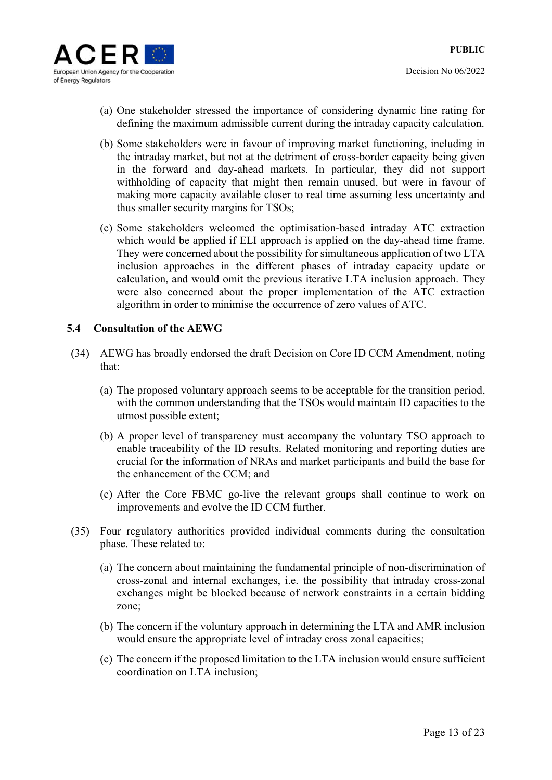

- Decision No 06/2022
- (a) One stakeholder stressed the importance of considering dynamic line rating for defining the maximum admissible current during the intraday capacity calculation.
- (b) Some stakeholders were in favour of improving market functioning, including in the intraday market, but not at the detriment of cross-border capacity being given in the forward and day-ahead markets. In particular, they did not support withholding of capacity that might then remain unused, but were in favour of making more capacity available closer to real time assuming less uncertainty and thus smaller security margins for TSOs;
- (c) Some stakeholders welcomed the optimisation-based intraday ATC extraction which would be applied if ELI approach is applied on the day-ahead time frame. They were concerned about the possibility for simultaneous application of two LTA inclusion approaches in the different phases of intraday capacity update or calculation, and would omit the previous iterative LTA inclusion approach. They were also concerned about the proper implementation of the ATC extraction algorithm in order to minimise the occurrence of zero values of ATC.

#### **5.4 Consultation of the AEWG**

- (34) AEWG has broadly endorsed the draft Decision on Core ID CCM Amendment, noting that:
	- (a) The proposed voluntary approach seems to be acceptable for the transition period, with the common understanding that the TSOs would maintain ID capacities to the utmost possible extent;
	- (b) A proper level of transparency must accompany the voluntary TSO approach to enable traceability of the ID results. Related monitoring and reporting duties are crucial for the information of NRAs and market participants and build the base for the enhancement of the CCM; and
	- (c) After the Core FBMC go-live the relevant groups shall continue to work on improvements and evolve the ID CCM further.
- (35) Four regulatory authorities provided individual comments during the consultation phase. These related to:
	- (a) The concern about maintaining the fundamental principle of non-discrimination of cross-zonal and internal exchanges, i.e. the possibility that intraday cross-zonal exchanges might be blocked because of network constraints in a certain bidding zone;
	- (b) The concern if the voluntary approach in determining the LTA and AMR inclusion would ensure the appropriate level of intraday cross zonal capacities;
	- (c) The concern if the proposed limitation to the LTA inclusion would ensure sufficient coordination on LTA inclusion;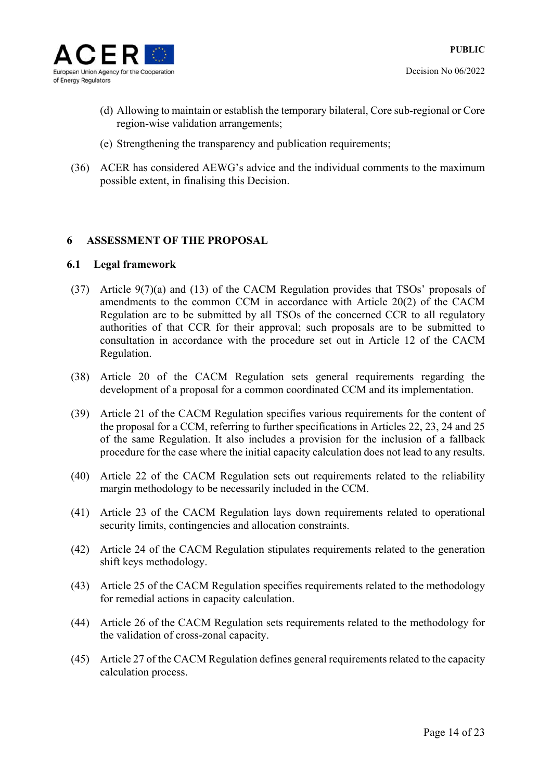

- (d) Allowing to maintain or establish the temporary bilateral, Core sub-regional or Core region-wise validation arrangements;
- (e) Strengthening the transparency and publication requirements;
- (36) ACER has considered AEWG's advice and the individual comments to the maximum possible extent, in finalising this Decision.

## **6 ASSESSMENT OF THE PROPOSAL**

#### **6.1 Legal framework**

- (37) Article 9(7)(a) and (13) of the CACM Regulation provides that TSOs' proposals of amendments to the common CCM in accordance with Article 20(2) of the CACM Regulation are to be submitted by all TSOs of the concerned CCR to all regulatory authorities of that CCR for their approval; such proposals are to be submitted to consultation in accordance with the procedure set out in Article 12 of the CACM Regulation.
- (38) Article 20 of the CACM Regulation sets general requirements regarding the development of a proposal for a common coordinated CCM and its implementation.
- (39) Article 21 of the CACM Regulation specifies various requirements for the content of the proposal for a CCM, referring to further specifications in Articles 22, 23, 24 and 25 of the same Regulation. It also includes a provision for the inclusion of a fallback procedure for the case where the initial capacity calculation does not lead to any results.
- (40) Article 22 of the CACM Regulation sets out requirements related to the reliability margin methodology to be necessarily included in the CCM.
- (41) Article 23 of the CACM Regulation lays down requirements related to operational security limits, contingencies and allocation constraints.
- (42) Article 24 of the CACM Regulation stipulates requirements related to the generation shift keys methodology.
- (43) Article 25 of the CACM Regulation specifies requirements related to the methodology for remedial actions in capacity calculation.
- (44) Article 26 of the CACM Regulation sets requirements related to the methodology for the validation of cross-zonal capacity.
- (45) Article 27 of the CACM Regulation defines general requirements related to the capacity calculation process.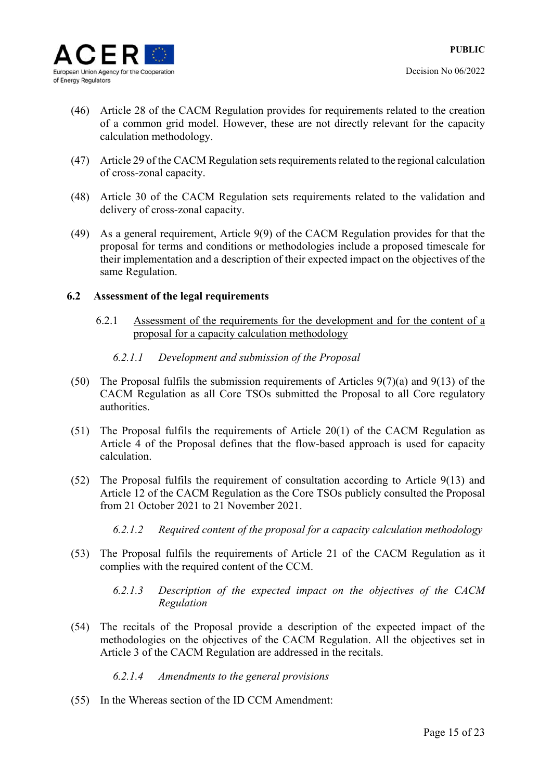

- (46) Article 28 of the CACM Regulation provides for requirements related to the creation of a common grid model. However, these are not directly relevant for the capacity calculation methodology.
- (47) Article 29 of the CACM Regulation sets requirements related to the regional calculation of cross-zonal capacity.
- (48) Article 30 of the CACM Regulation sets requirements related to the validation and delivery of cross-zonal capacity.
- (49) As a general requirement, Article 9(9) of the CACM Regulation provides for that the proposal for terms and conditions or methodologies include a proposed timescale for their implementation and a description of their expected impact on the objectives of the same Regulation.

#### **6.2 Assessment of the legal requirements**

6.2.1 Assessment of the requirements for the development and for the content of a proposal for a capacity calculation methodology

#### *6.2.1.1 Development and submission of the Proposal*

- (50) The Proposal fulfils the submission requirements of Articles 9(7)(a) and 9(13) of the CACM Regulation as all Core TSOs submitted the Proposal to all Core regulatory authorities.
- (51) The Proposal fulfils the requirements of Article 20(1) of the CACM Regulation as Article 4 of the Proposal defines that the flow-based approach is used for capacity calculation.
- (52) The Proposal fulfils the requirement of consultation according to Article 9(13) and Article 12 of the CACM Regulation as the Core TSOs publicly consulted the Proposal from 21 October 2021 to 21 November 2021.
	- *6.2.1.2 Required content of the proposal for a capacity calculation methodology*
- (53) The Proposal fulfils the requirements of Article 21 of the CACM Regulation as it complies with the required content of the CCM.
	- *6.2.1.3 Description of the expected impact on the objectives of the CACM Regulation*
- (54) The recitals of the Proposal provide a description of the expected impact of the methodologies on the objectives of the CACM Regulation. All the objectives set in Article 3 of the CACM Regulation are addressed in the recitals.

## *6.2.1.4 Amendments to the general provisions*

(55) In the Whereas section of the ID CCM Amendment: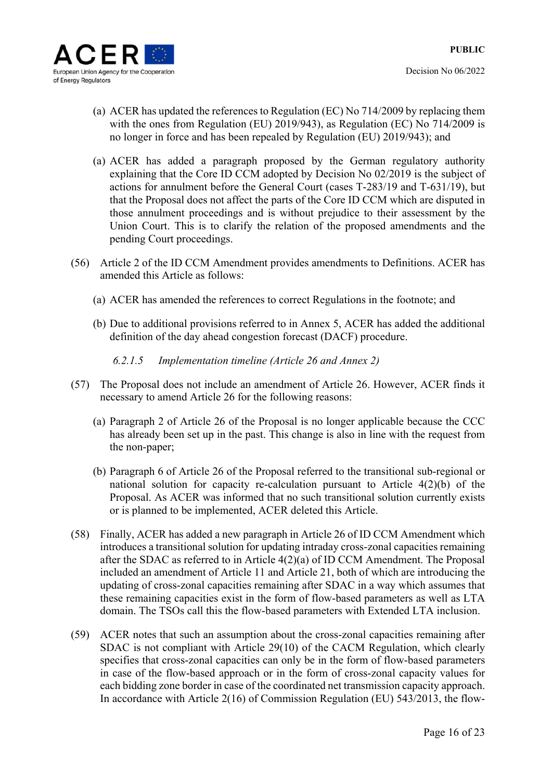

- (a) ACER has updated the references to Regulation (EC) No 714/2009 by replacing them with the ones from Regulation (EU) 2019/943), as Regulation (EC) No 714/2009 is no longer in force and has been repealed by Regulation (EU) 2019/943); and
- (a) ACER has added a paragraph proposed by the German regulatory authority explaining that the Core ID CCM adopted by Decision No 02/2019 is the subject of actions for annulment before the General Court (cases T-283/19 and T-631/19), but that the Proposal does not affect the parts of the Core ID CCM which are disputed in those annulment proceedings and is without prejudice to their assessment by the Union Court. This is to clarify the relation of the proposed amendments and the pending Court proceedings.
- (56) Article 2 of the ID CCM Amendment provides amendments to Definitions. ACER has amended this Article as follows:
	- (a) ACER has amended the references to correct Regulations in the footnote; and
	- (b) Due to additional provisions referred to in Annex 5, ACER has added the additional definition of the day ahead congestion forecast (DACF) procedure.

*6.2.1.5 Implementation timeline (Article 26 and Annex 2)* 

- (57) The Proposal does not include an amendment of Article 26. However, ACER finds it necessary to amend Article 26 for the following reasons:
	- (a) Paragraph 2 of Article 26 of the Proposal is no longer applicable because the CCC has already been set up in the past. This change is also in line with the request from the non-paper;
	- (b) Paragraph 6 of Article 26 of the Proposal referred to the transitional sub-regional or national solution for capacity re-calculation pursuant to Article 4(2)(b) of the Proposal. As ACER was informed that no such transitional solution currently exists or is planned to be implemented, ACER deleted this Article.
- (58) Finally, ACER has added a new paragraph in Article 26 of ID CCM Amendment which introduces a transitional solution for updating intraday cross-zonal capacities remaining after the SDAC as referred to in Article 4(2)(a) of ID CCM Amendment. The Proposal included an amendment of Article 11 and Article 21, both of which are introducing the updating of cross-zonal capacities remaining after SDAC in a way which assumes that these remaining capacities exist in the form of flow-based parameters as well as LTA domain. The TSOs call this the flow-based parameters with Extended LTA inclusion.
- (59) ACER notes that such an assumption about the cross-zonal capacities remaining after SDAC is not compliant with Article 29(10) of the CACM Regulation, which clearly specifies that cross-zonal capacities can only be in the form of flow-based parameters in case of the flow-based approach or in the form of cross-zonal capacity values for each bidding zone border in case of the coordinated net transmission capacity approach. In accordance with Article 2(16) of Commission Regulation (EU) 543/2013, the flow-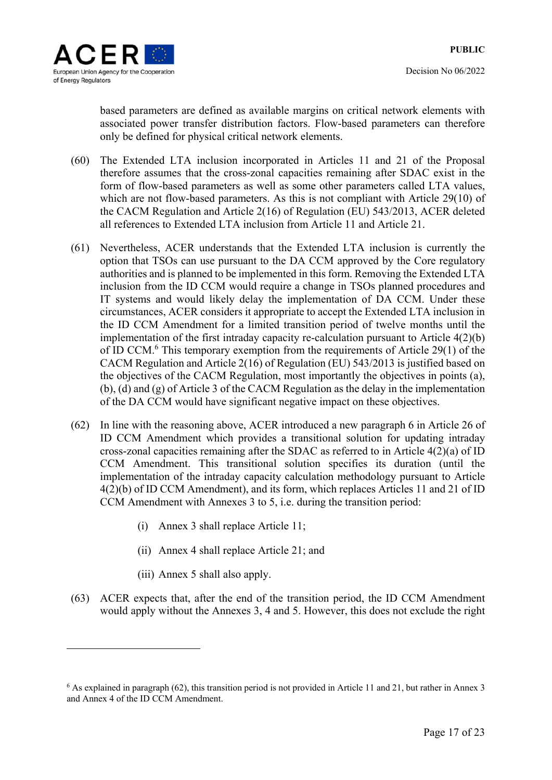based parameters are defined as available margins on critical network elements with associated power transfer distribution factors. Flow-based parameters can therefore only be defined for physical critical network elements.

- (60) The Extended LTA inclusion incorporated in Articles 11 and 21 of the Proposal therefore assumes that the cross-zonal capacities remaining after SDAC exist in the form of flow-based parameters as well as some other parameters called LTA values, which are not flow-based parameters. As this is not compliant with Article 29(10) of the CACM Regulation and Article 2(16) of Regulation (EU) 543/2013, ACER deleted all references to Extended LTA inclusion from Article 11 and Article 21.
- (61) Nevertheless, ACER understands that the Extended LTA inclusion is currently the option that TSOs can use pursuant to the DA CCM approved by the Core regulatory authorities and is planned to be implemented in this form. Removing the Extended LTA inclusion from the ID CCM would require a change in TSOs planned procedures and IT systems and would likely delay the implementation of DA CCM. Under these circumstances, ACER considers it appropriate to accept the Extended LTA inclusion in the ID CCM Amendment for a limited transition period of twelve months until the implementation of the first intraday capacity re-calculation pursuant to Article 4(2)(b) of ID CCM.<sup>6</sup> This temporary exemption from the requirements of Article 29(1) of the CACM Regulation and Article 2(16) of Regulation (EU) 543/2013 is justified based on the objectives of the CACM Regulation, most importantly the objectives in points (a), (b), (d) and (g) of Article 3 of the CACM Regulation as the delay in the implementation of the DA CCM would have significant negative impact on these objectives.
- (62) In line with the reasoning above, ACER introduced a new paragraph 6 in Article 26 of ID CCM Amendment which provides a transitional solution for updating intraday cross-zonal capacities remaining after the SDAC as referred to in Article 4(2)(a) of ID CCM Amendment. This transitional solution specifies its duration (until the implementation of the intraday capacity calculation methodology pursuant to Article 4(2)(b) of ID CCM Amendment), and its form, which replaces Articles 11 and 21 of ID CCM Amendment with Annexes 3 to 5, i.e. during the transition period:
	- (i) Annex 3 shall replace Article 11;
	- (ii) Annex 4 shall replace Article 21; and
	- (iii) Annex 5 shall also apply.

<u>.</u>

(63) ACER expects that, after the end of the transition period, the ID CCM Amendment would apply without the Annexes 3, 4 and 5. However, this does not exclude the right

<sup>6</sup> As explained in paragraph (62), this transition period is not provided in Article 11 and 21, but rather in Annex 3 and Annex 4 of the ID CCM Amendment.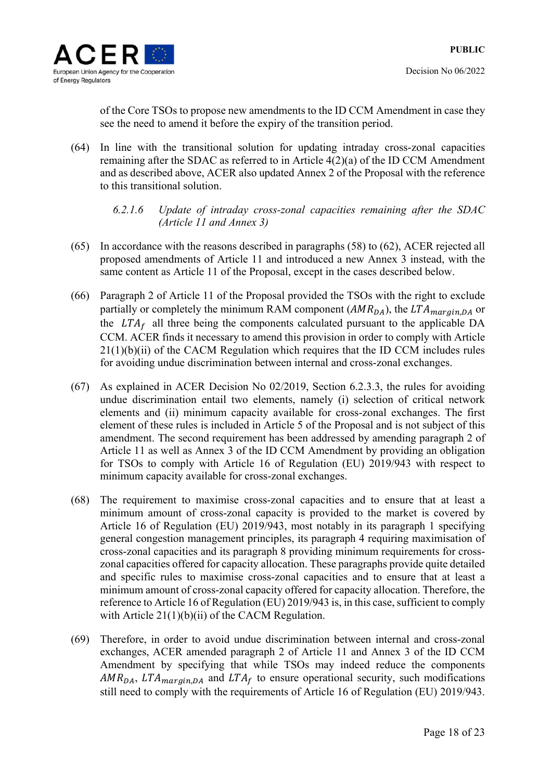of the Core TSOs to propose new amendments to the ID CCM Amendment in case they see the need to amend it before the expiry of the transition period.

- (64) In line with the transitional solution for updating intraday cross-zonal capacities remaining after the SDAC as referred to in Article 4(2)(a) of the ID CCM Amendment and as described above, ACER also updated Annex 2 of the Proposal with the reference to this transitional solution.
	- *6.2.1.6 Update of intraday cross-zonal capacities remaining after the SDAC (Article 11 and Annex 3)*
- (65) In accordance with the reasons described in paragraphs (58) to (62), ACER rejected all proposed amendments of Article 11 and introduced a new Annex 3 instead, with the same content as Article 11 of the Proposal, except in the cases described below.
- (66) Paragraph 2 of Article 11 of the Proposal provided the TSOs with the right to exclude partially or completely the minimum RAM component  $(AMR_{DA})$ , the  $LTA_{margin, DA}$  or the  $LTA_f$  all three being the components calculated pursuant to the applicable DA CCM. ACER finds it necessary to amend this provision in order to comply with Article 21(1)(b)(ii) of the CACM Regulation which requires that the ID CCM includes rules for avoiding undue discrimination between internal and cross-zonal exchanges.
- (67) As explained in ACER Decision No 02/2019, Section 6.2.3.3, the rules for avoiding undue discrimination entail two elements, namely (i) selection of critical network elements and (ii) minimum capacity available for cross-zonal exchanges. The first element of these rules is included in Article 5 of the Proposal and is not subject of this amendment. The second requirement has been addressed by amending paragraph 2 of Article 11 as well as Annex 3 of the ID CCM Amendment by providing an obligation for TSOs to comply with Article 16 of Regulation (EU) 2019/943 with respect to minimum capacity available for cross-zonal exchanges.
- (68) The requirement to maximise cross-zonal capacities and to ensure that at least a minimum amount of cross-zonal capacity is provided to the market is covered by Article 16 of Regulation (EU) 2019/943, most notably in its paragraph 1 specifying general congestion management principles, its paragraph 4 requiring maximisation of cross-zonal capacities and its paragraph 8 providing minimum requirements for crosszonal capacities offered for capacity allocation. These paragraphs provide quite detailed and specific rules to maximise cross-zonal capacities and to ensure that at least a minimum amount of cross-zonal capacity offered for capacity allocation. Therefore, the reference to Article 16 of Regulation (EU) 2019/943 is, in this case, sufficient to comply with Article 21(1)(b)(ii) of the CACM Regulation.
- (69) Therefore, in order to avoid undue discrimination between internal and cross-zonal exchanges, ACER amended paragraph 2 of Article 11 and Annex 3 of the ID CCM Amendment by specifying that while TSOs may indeed reduce the components  $AMR_{DA}$ , LTA<sub>marain</sub>, and LTA<sub>f</sub> to ensure operational security, such modifications still need to comply with the requirements of Article 16 of Regulation (EU) 2019/943.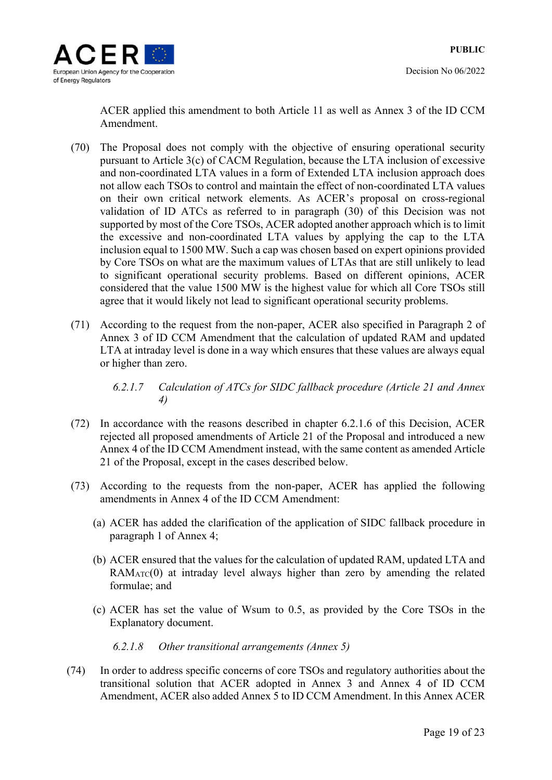

Decision No 06/2022

ACER applied this amendment to both Article 11 as well as Annex 3 of the ID CCM Amendment.

- (70) The Proposal does not comply with the objective of ensuring operational security pursuant to Article 3(c) of CACM Regulation, because the LTA inclusion of excessive and non-coordinated LTA values in a form of Extended LTA inclusion approach does not allow each TSOs to control and maintain the effect of non-coordinated LTA values on their own critical network elements. As ACER's proposal on cross-regional validation of ID ATCs as referred to in paragraph (30) of this Decision was not supported by most of the Core TSOs, ACER adopted another approach which is to limit the excessive and non-coordinated LTA values by applying the cap to the LTA inclusion equal to 1500 MW. Such a cap was chosen based on expert opinions provided by Core TSOs on what are the maximum values of LTAs that are still unlikely to lead to significant operational security problems. Based on different opinions, ACER considered that the value 1500 MW is the highest value for which all Core TSOs still agree that it would likely not lead to significant operational security problems.
- (71) According to the request from the non-paper, ACER also specified in Paragraph 2 of Annex 3 of ID CCM Amendment that the calculation of updated RAM and updated LTA at intraday level is done in a way which ensures that these values are always equal or higher than zero.

*6.2.1.7 Calculation of ATCs for SIDC fallback procedure (Article 21 and Annex 4)* 

- (72) In accordance with the reasons described in chapter 6.2.1.6 of this Decision, ACER rejected all proposed amendments of Article 21 of the Proposal and introduced a new Annex 4 of the ID CCM Amendment instead, with the same content as amended Article 21 of the Proposal, except in the cases described below.
- (73) According to the requests from the non-paper, ACER has applied the following amendments in Annex 4 of the ID CCM Amendment:
	- (a) ACER has added the clarification of the application of SIDC fallback procedure in paragraph 1 of Annex 4;
	- (b) ACER ensured that the values for the calculation of updated RAM, updated LTA and  $RAM_{ATC}(0)$  at intraday level always higher than zero by amending the related formulae; and
	- (c) ACER has set the value of Wsum to 0.5, as provided by the Core TSOs in the Explanatory document.

*6.2.1.8 Other transitional arrangements (Annex 5)* 

(74) In order to address specific concerns of core TSOs and regulatory authorities about the transitional solution that ACER adopted in Annex 3 and Annex 4 of ID CCM Amendment, ACER also added Annex 5 to ID CCM Amendment. In this Annex ACER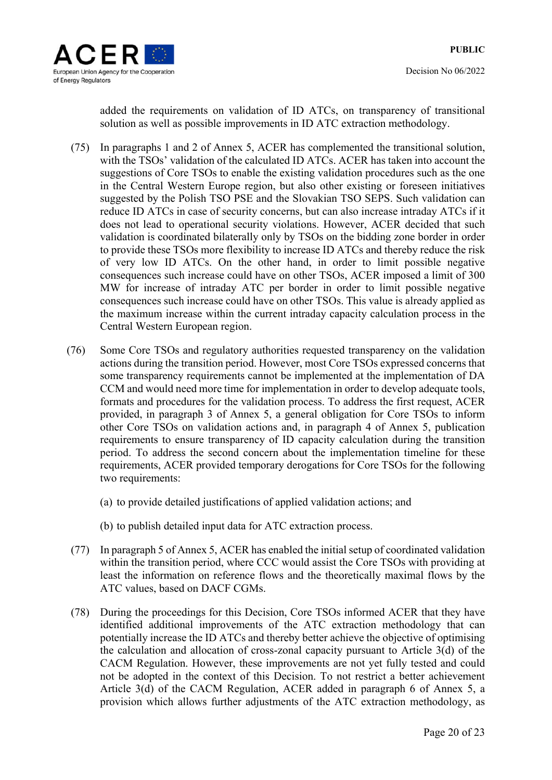

added the requirements on validation of ID ATCs, on transparency of transitional solution as well as possible improvements in ID ATC extraction methodology.

- (75) In paragraphs 1 and 2 of Annex 5, ACER has complemented the transitional solution, with the TSOs' validation of the calculated ID ATCs. ACER has taken into account the suggestions of Core TSOs to enable the existing validation procedures such as the one in the Central Western Europe region, but also other existing or foreseen initiatives suggested by the Polish TSO PSE and the Slovakian TSO SEPS. Such validation can reduce ID ATCs in case of security concerns, but can also increase intraday ATCs if it does not lead to operational security violations. However, ACER decided that such validation is coordinated bilaterally only by TSOs on the bidding zone border in order to provide these TSOs more flexibility to increase ID ATCs and thereby reduce the risk of very low ID ATCs. On the other hand, in order to limit possible negative consequences such increase could have on other TSOs, ACER imposed a limit of 300 MW for increase of intraday ATC per border in order to limit possible negative consequences such increase could have on other TSOs. This value is already applied as the maximum increase within the current intraday capacity calculation process in the Central Western European region.
- (76) Some Core TSOs and regulatory authorities requested transparency on the validation actions during the transition period. However, most Core TSOs expressed concerns that some transparency requirements cannot be implemented at the implementation of DA CCM and would need more time for implementation in order to develop adequate tools, formats and procedures for the validation process. To address the first request, ACER provided, in paragraph 3 of Annex 5, a general obligation for Core TSOs to inform other Core TSOs on validation actions and, in paragraph 4 of Annex 5, publication requirements to ensure transparency of ID capacity calculation during the transition period. To address the second concern about the implementation timeline for these requirements, ACER provided temporary derogations for Core TSOs for the following two requirements:
	- (a) to provide detailed justifications of applied validation actions; and
	- (b) to publish detailed input data for ATC extraction process.
- (77) In paragraph 5 of Annex 5, ACER has enabled the initial setup of coordinated validation within the transition period, where CCC would assist the Core TSOs with providing at least the information on reference flows and the theoretically maximal flows by the ATC values, based on DACF CGMs.
- (78) During the proceedings for this Decision, Core TSOs informed ACER that they have identified additional improvements of the ATC extraction methodology that can potentially increase the ID ATCs and thereby better achieve the objective of optimising the calculation and allocation of cross-zonal capacity pursuant to Article 3(d) of the CACM Regulation. However, these improvements are not yet fully tested and could not be adopted in the context of this Decision. To not restrict a better achievement Article 3(d) of the CACM Regulation, ACER added in paragraph 6 of Annex 5, a provision which allows further adjustments of the ATC extraction methodology, as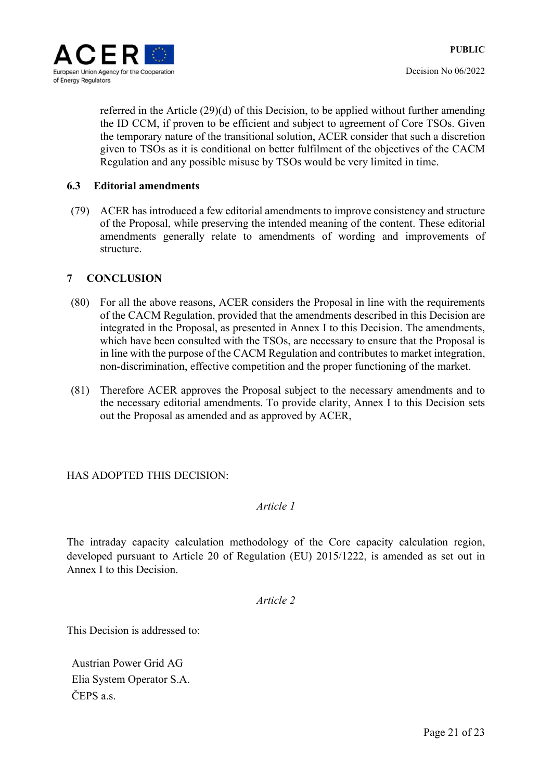

referred in the Article (29)(d) of this Decision, to be applied without further amending the ID CCM, if proven to be efficient and subject to agreement of Core TSOs. Given the temporary nature of the transitional solution, ACER consider that such a discretion given to TSOs as it is conditional on better fulfilment of the objectives of the CACM Regulation and any possible misuse by TSOs would be very limited in time.

#### **6.3 Editorial amendments**

(79) ACER has introduced a few editorial amendments to improve consistency and structure of the Proposal, while preserving the intended meaning of the content. These editorial amendments generally relate to amendments of wording and improvements of structure.

## **7 CONCLUSION**

- (80) For all the above reasons, ACER considers the Proposal in line with the requirements of the CACM Regulation, provided that the amendments described in this Decision are integrated in the Proposal, as presented in Annex I to this Decision. The amendments, which have been consulted with the TSOs, are necessary to ensure that the Proposal is in line with the purpose of the CACM Regulation and contributes to market integration, non-discrimination, effective competition and the proper functioning of the market.
- (81) Therefore ACER approves the Proposal subject to the necessary amendments and to the necessary editorial amendments. To provide clarity, Annex I to this Decision sets out the Proposal as amended and as approved by ACER,

#### HAS ADOPTED THIS DECISION:

## *Article 1*

The intraday capacity calculation methodology of the Core capacity calculation region, developed pursuant to Article 20 of Regulation (EU) 2015/1222, is amended as set out in Annex I to this Decision.

*Article 2* 

This Decision is addressed to:

Austrian Power Grid AG Elia System Operator S.A. ČEPS a.s.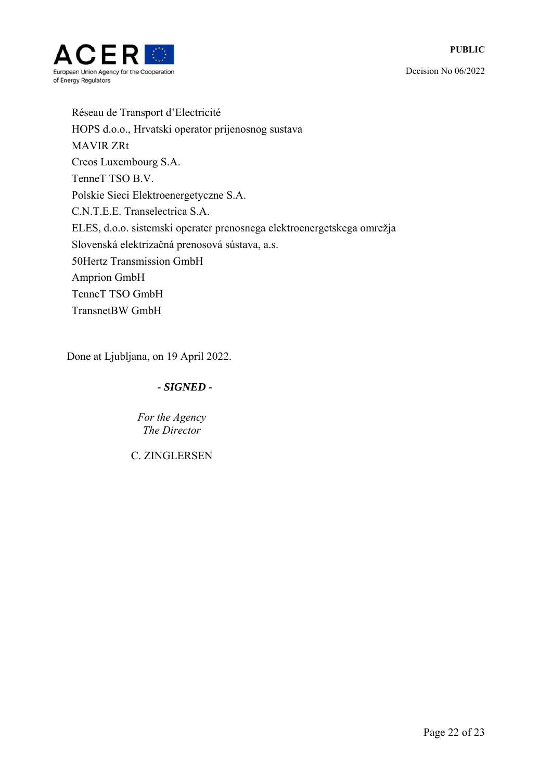

Réseau de Transport d'Electricité HOPS d.o.o., Hrvatski operator prijenosnog sustava MAVIR ZRt Creos Luxembourg S.A. TenneT TSO B.V. Polskie Sieci Elektroenergetyczne S.A. C.N.T.E.E. Transelectrica S.A. ELES, d.o.o. sistemski operater prenosnega elektroenergetskega omrežja Slovenská elektrizačná prenosová sústava, a.s. 50Hertz Transmission GmbH Amprion GmbH TenneT TSO GmbH TransnetBW GmbH

Done at Ljubljana, on 19 April 2022.

## *- SIGNED -*

*Fоr the Agency The Director* 

C. ZINGLERSEN